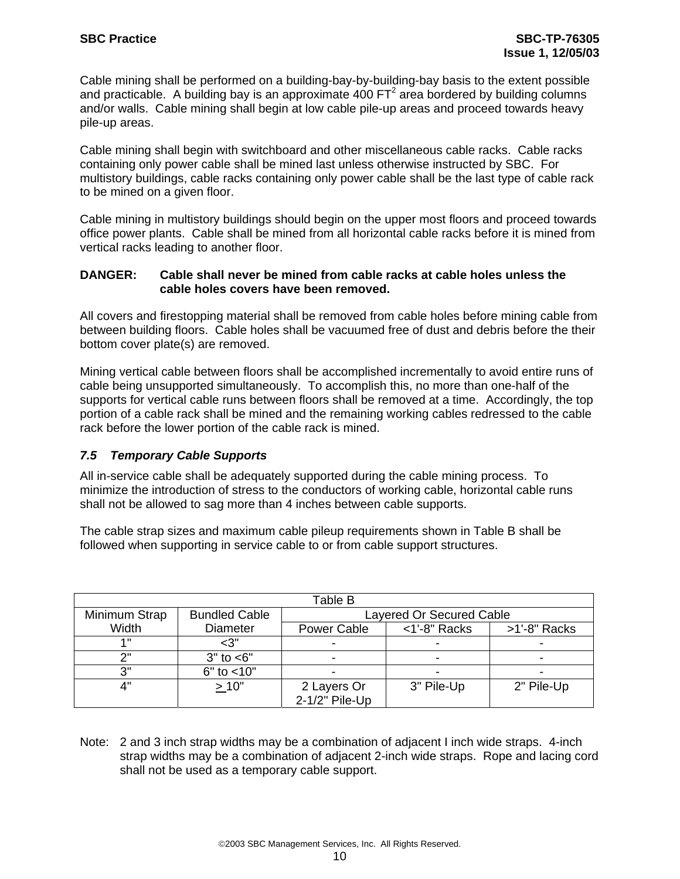Cable mining shall be performed on a building-bay-by-building-bay basis to the extent possible and practicable. A building bay is an approximate 400 FT<sup>2</sup> area bordered by building columns and/or walls. Cable mining shall begin at low cable pile-up areas and proceed towards heavy pile-up areas.

Cable mining shall begin with switchboard and other miscellaneous cable racks. Cable racks containing only power cable shall be mined last unless otherwise instructed by SBC. For multistory buildings, cable racks containing only power cable shall be the last type of cable rack to be mined on a given floor.

Cable mining in multistory buildings should begin on the upper most floors and proceed towards office power plants. Cable shall be mined from all horizontal cable racks before it is mined from vertical racks leading to another floor.

#### **DANGER: Cable shall never be mined from cable racks at cable holes unless the cable holes covers have been removed.**

All covers and firestopping material shall be removed from cable holes before mining cable from between building floors. Cable holes shall be vacuumed free of dust and debris before the their bottom cover plate(s) are removed.

Mining vertical cable between floors shall be accomplished incrementally to avoid entire runs of cable being unsupported simultaneously. To accomplish this, no more than one-half of the supports for vertical cable runs between floors shall be removed at a time. Accordingly, the top portion of a cable rack shall be mined and the remaining working cables redressed to the cable rack before the lower portion of the cable rack is mined.

## *7.5 Temporary Cable Supports*

All in-service cable shall be adequately supported during the cable mining process. To minimize the introduction of stress to the conductors of working cable, horizontal cable runs shall not be allowed to sag more than 4 inches between cable supports.

The cable strap sizes and maximum cable pileup requirements shown in Table B shall be followed when supporting in service cable to or from cable support structures.

| Table B       |                      |                          |                 |              |
|---------------|----------------------|--------------------------|-----------------|--------------|
| Minimum Strap | <b>Bundled Cable</b> | Layered Or Secured Cable |                 |              |
| Width         | <b>Diameter</b>      | Power Cable              | $<$ 1'-8" Racks | >1'-8" Racks |
| 4 !!          | $<$ 3"               |                          |                 |              |
| ייר           | $3"$ to $<6"$        | -                        |                 |              |
| 3"            | $6"$ to $< 10"$      |                          |                 |              |
| 4"            | >10"                 | 2 Layers Or              | 3" Pile-Up      | 2" Pile-Up   |
|               |                      | 2-1/2" Pile-Up           |                 |              |

Note: 2 and 3 inch strap widths may be a combination of adjacent I inch wide straps. 4-inch strap widths may be a combination of adjacent 2-inch wide straps. Rope and lacing cord shall not be used as a temporary cable support.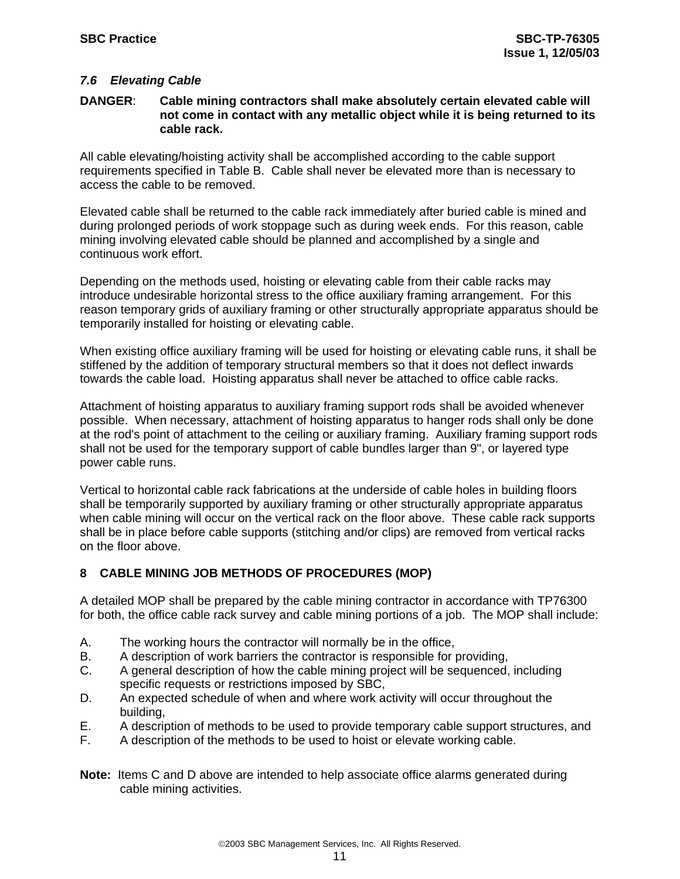## *7.6 Elevating Cable*

#### **DANGER**: **Cable mining contractors shall make absolutely certain elevated cable will not come in contact with any metallic object while it is being returned to its cable rack.**

All cable elevating/hoisting activity shall be accomplished according to the cable support requirements specified in Table B. Cable shall never be elevated more than is necessary to access the cable to be removed.

Elevated cable shall be returned to the cable rack immediately after buried cable is mined and during prolonged periods of work stoppage such as during week ends. For this reason, cable mining involving elevated cable should be planned and accomplished by a single and continuous work effort.

Depending on the methods used, hoisting or elevating cable from their cable racks may introduce undesirable horizontal stress to the office auxiliary framing arrangement. For this reason temporary grids of auxiliary framing or other structurally appropriate apparatus should be temporarily installed for hoisting or elevating cable.

When existing office auxiliary framing will be used for hoisting or elevating cable runs, it shall be stiffened by the addition of temporary structural members so that it does not deflect inwards towards the cable load. Hoisting apparatus shall never be attached to office cable racks.

Attachment of hoisting apparatus to auxiliary framing support rods shall be avoided whenever possible. When necessary, attachment of hoisting apparatus to hanger rods shall only be done at the rod's point of attachment to the ceiling or auxiliary framing. Auxiliary framing support rods shall not be used for the temporary support of cable bundles larger than 9", or layered type power cable runs.

Vertical to horizontal cable rack fabrications at the underside of cable holes in building floors shall be temporarily supported by auxiliary framing or other structurally appropriate apparatus when cable mining will occur on the vertical rack on the floor above. These cable rack supports shall be in place before cable supports (stitching and/or clips) are removed from vertical racks on the floor above.

## **8 CABLE MINING JOB METHODS OF PROCEDURES (MOP)**

A detailed MOP shall be prepared by the cable mining contractor in accordance with TP76300 for both, the office cable rack survey and cable mining portions of a job. The MOP shall include:

- A. The working hours the contractor will normally be in the office,
- B. A description of work barriers the contractor is responsible for providing,
- C. A general description of how the cable mining project will be sequenced, including specific requests or restrictions imposed by SBC,
- D. An expected schedule of when and where work activity will occur throughout the building,
- E. A description of methods to be used to provide temporary cable support structures, and
- F. A description of the methods to be used to hoist or elevate working cable.
- **Note:** Items C and D above are intended to help associate office alarms generated during cable mining activities.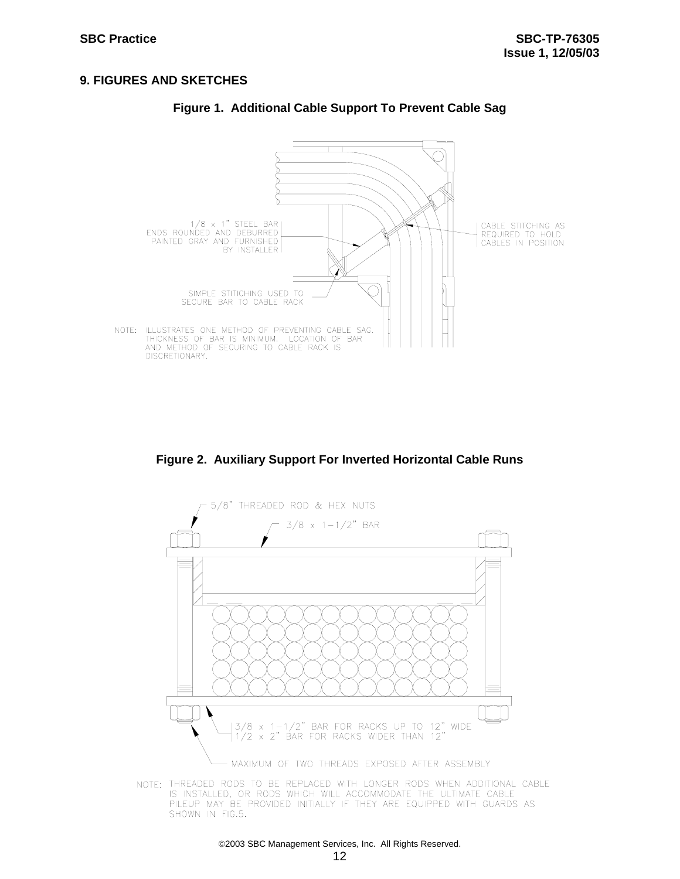#### **9. FIGURES AND SKETCHES**



### **Figure 1. Additional Cable Support To Prevent Cable Sag**

**Figure 2. Auxiliary Support For Inverted Horizontal Cable Runs** 



NOTE: THREADED RODS TO BE REPLACED WITH LONGER RODS WHEN ADDITIONAL CABLE IS INSTALLED, OR RODS WHICH WILL ACCOMMODATE THE ULTIMATE CABLE PILEUP MAY BE PROVIDED INITIALLY IF THEY ARE EQUIPPED WITH GUARDS AS SHOWN IN FIG.5.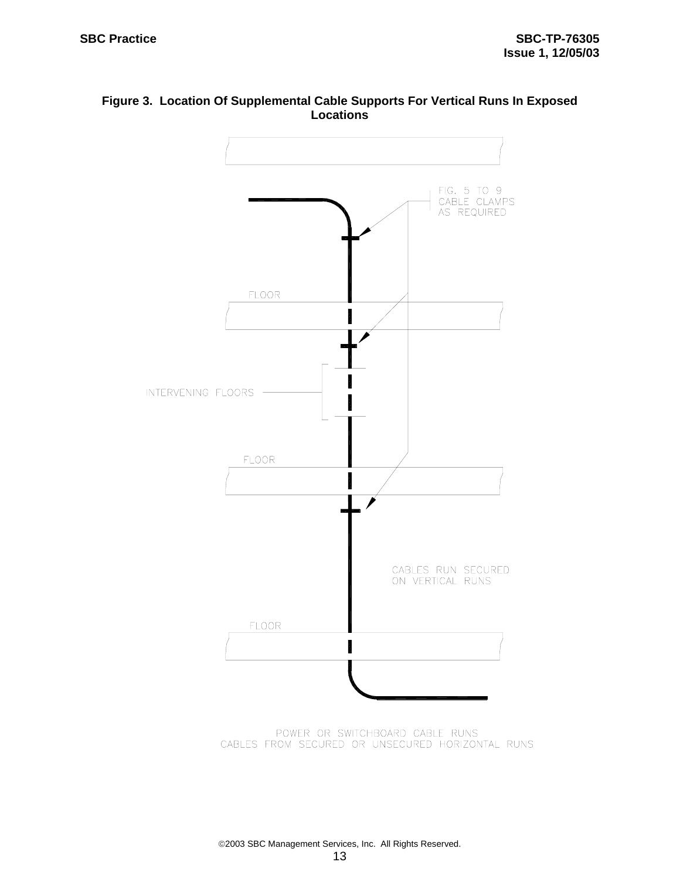



POWER OR SWITCHBOARD CABLE RUNS CABLES FROM SECURED OR UNSECURED HORIZONTAL RUNS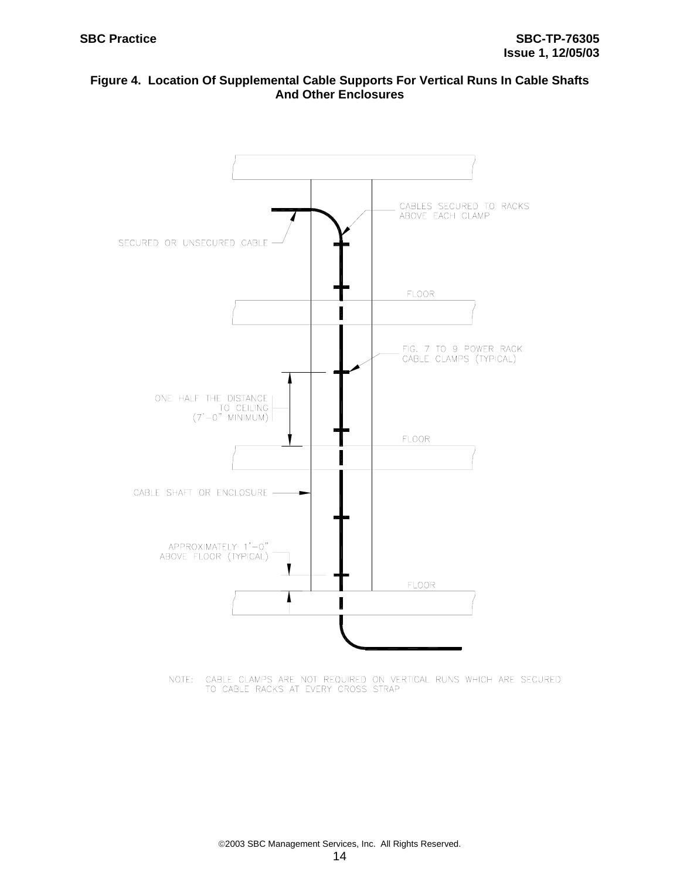### **Figure 4. Location Of Supplemental Cable Supports For Vertical Runs In Cable Shafts And Other Enclosures**



NOTE: CABLE CLAMPS ARE NOT REQUIRED ON VERTICAL RUNS WHICH ARE SECURED TO CABLE RACKS AT EVERY CROSS STRAP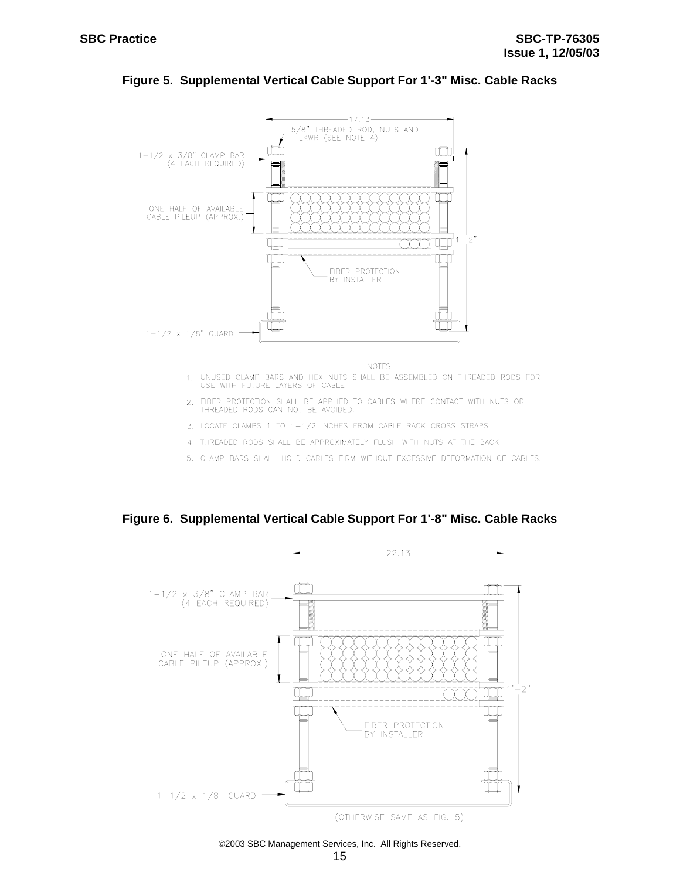

#### **Figure 5. Supplemental Vertical Cable Support For 1'-3" Misc. Cable Racks**

- 1. UNUSED CLAMP BARS AND HEX NUTS SHALL BE ASSEMBLED ON THREADED RODS FOR USE WITH FUTURE LAYERS OF CABLE
- 2. FIBER PROTECTION SHALL BE APPLIED TO CABLES WHERE CONTACT WITH NUTS OR THREADED RODS CAN NOT BE AVOIDED.
- 3. LOCATE CLAMPS 1 TO 1-1/2 INCHES FROM CABLE RACK CROSS STRAPS.
- 4. THREADED RODS SHALL BE APPROXIMATELY FLUSH WITH NUTS AT THE BACK
- 5. CLAMP BARS SHALL HOLD CABLES FIRM WITHOUT EXCESSIVE DEFORMATION OF CABLES.

**Figure 6. Supplemental Vertical Cable Support For 1'-8" Misc. Cable Racks** 

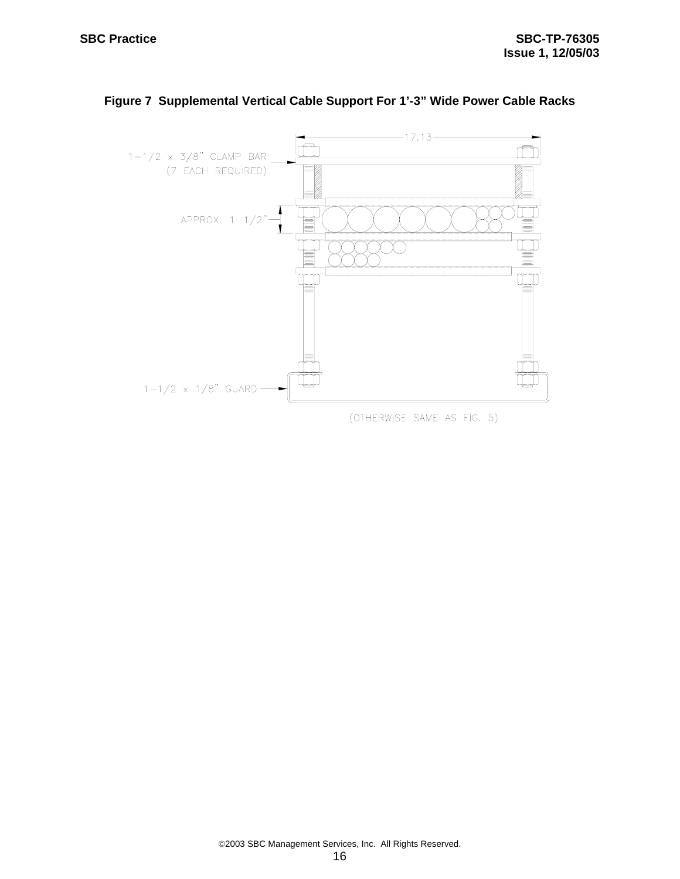

# **Figure 7 Supplemental Vertical Cable Support For 1'-3" Wide Power Cable Racks**

(OTHERWISE SAME AS FIG. 5)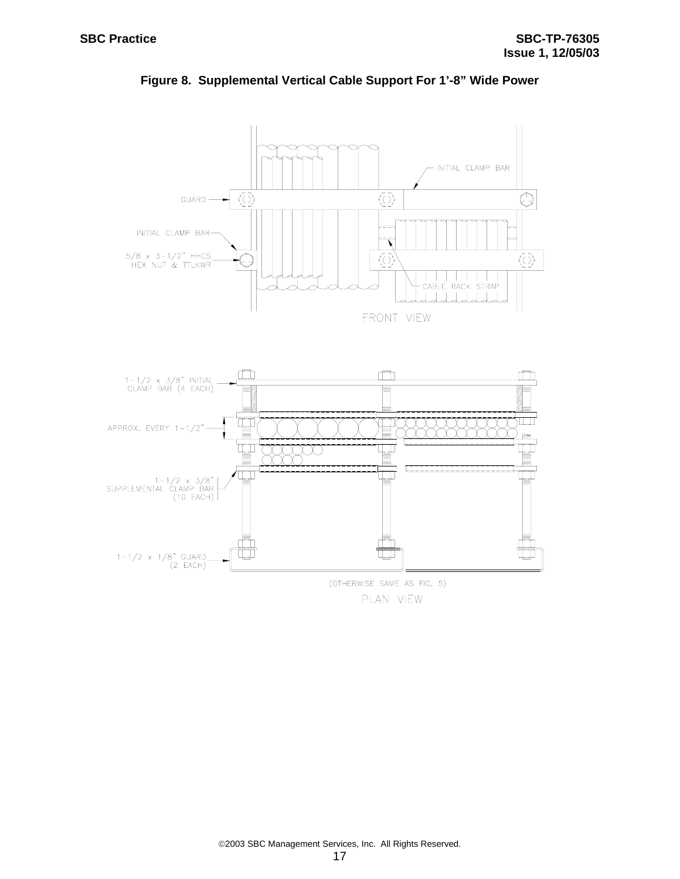$1-1/2 \times 1/8"$  GUARD<br>(2 EACH)

 $\Box$ 

T



m

(OTHERWISE SAME AS FIG. 5) PLAN VIEW

**Figure 8. Supplemental Vertical Cable Support For 1'-8" Wide Power**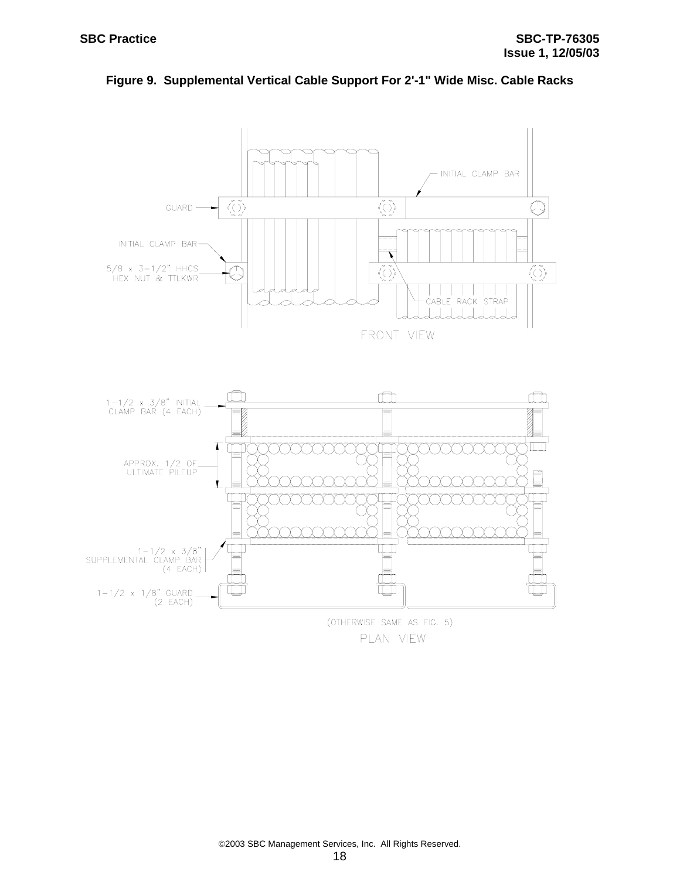

**Figure 9. Supplemental Vertical Cable Support For 2'-1" Wide Misc. Cable Racks**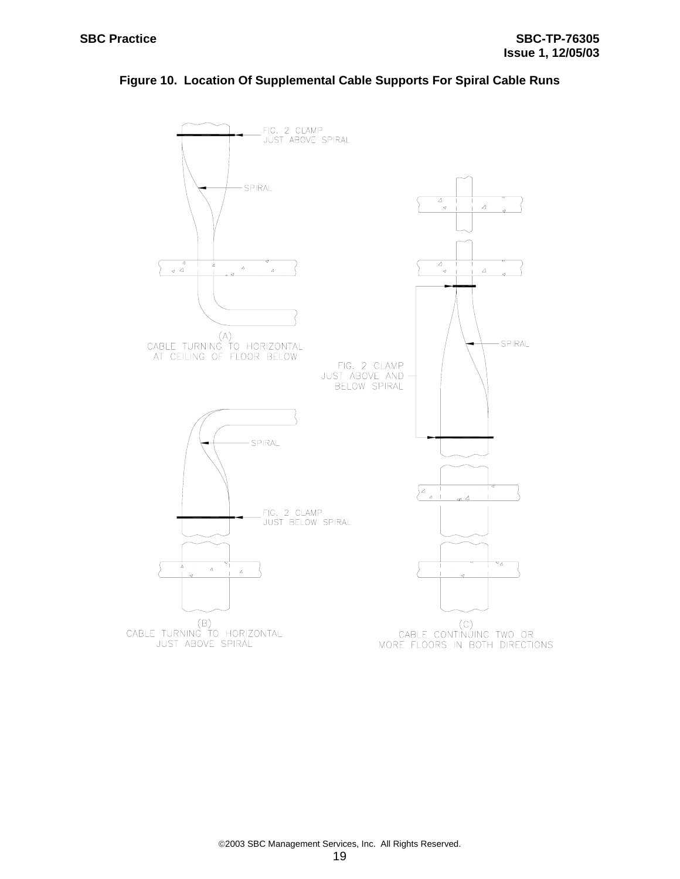

#### **Figure 10. Location Of Supplemental Cable Supports For Spiral Cable Runs**